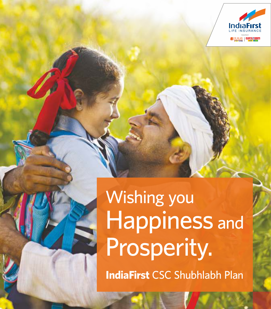

# Wishing you Happiness and Prosperity.

**IndiaFirst** CSC Shubhlabh Plan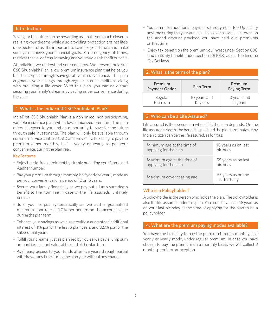# Introduction

Saving for the future can be rewarding as it puts you much closer to realizing your dreams while also providing protection against life's unexpected turns. It's important to save for your future and make sure you achieve your financial goals. An emergency at times, restricts the flow of regular saving and you may lose benefit out of it.

At IndiaFirst we understand your concerns. We present IndiaFirst CSC Shubhlabh Plan, a low premium insurance plan that helps you build a corpus through savings at your convenience. The plan augments your savings through regular interest additions along with providing a life cover. With this plan, you can now start securing your family's dreams by paying as per convenience during the year.

# 1. What is the IndiaFirst CSC Shubhlabh Plan?

IndiaFirst CSC Shubhlabh Plan is a non linked, non participating, variable insurance plan with a low annualized premium. The plan offers life cover to you and an opportunity to save for the future through safe investments. The plan will only be available through common service centres (CSC) and provides a flexibility to pay the premium either monthly, half – yearly or yearly as per your convenience, during the plan year.

#### Key Features

- Enjoy hassle-free enrolment by simply providing your Name and Aadhar number.
- Pay your premium through monthly, half yearly or yearly mode as per your convenience for a period of 10 or 15 years.
- Secure your family financially as we pay out a lump sum death benefit to the nominee in case of the life assureds' untimely demise
- Build your corpus systematically as we add a guaranteed minimum floor rate of 1.0% per annum on the account value during the plan term.
- Enhance your savings as we also provide a guaranteed additional interest of 4% p.a for the first 5 plan years and 0.5% p.a for the subsequent years.
- Fulfill your dreams, just as planned by you as we pay a lump sum amount i.e. account value at the end of the plan term
- Avail easy access to your funds after five years through partial withdrawal any time during the plan year without any charge
- You can make additional payments through our Top Up facility anytime during the year and avail life cover as well as interest on the added amount provided you have paid due premiums on that time.
- Enjoy tax benefit on the premium you invest under Section 80C and maturity benefit under Section 10(10D), as per the Income Tax Act laws

#### 2. What is the term of the plan?

| Premium<br><b>Payment Option</b> | Plan Term    | Premium<br>Paying Term |
|----------------------------------|--------------|------------------------|
| Regular                          | 10 years and | 10 years and           |
| Premium                          | 15 years     | 15 years               |

# 3. Who can be a Life Assured?

Life assured is the person, on whose life the plan depends. On the life assured's death, the benefit is paid and the plan terminates. Any Indian citizen can be the life assured, as long as:

| Minimum age at the time of | 18 years as on last                 |
|----------------------------|-------------------------------------|
| applying for the plan      | birthday                            |
| Maximum age at the time of | 55 years as on last                 |
| applying for the plan      | birthday                            |
| Maximum cover ceasing age  | 65 years as on the<br>last birthday |

#### Who is a Policyholder?

A policyholder is the person who holds the plan. The policyholder is also the life assured under this plan. You must be at least 18 years as on your last birthday at the time of applying for the plan to be a policyholder.

#### 4. What are the premium paying modes available?

You have the flexibility to pay the premium through monthly, half yearly or yearly mode, under regular premium. In case you have chosen to pay the premium on a monthly basis, we will collect 3 months premium on inception.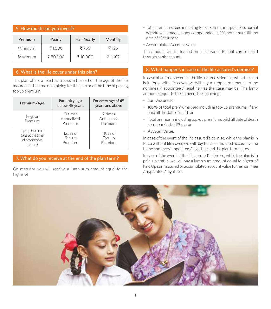# 5. How much can you invest?

| Premium | Yearly  | <b>Half Yearly</b> | Monthly |
|---------|---------|--------------------|---------|
| Minimum | ₹1.500  | ₹750               | ₹125    |
| Maximum | ₹20.000 | ₹10.000            | ₹1.667  |

# 6. What is the life cover under this plan?

The plan offers a fixed sum assured based on the age of the life assured at the time of applying for the plan or at the time of paying top up premium.

| Premium/Age                                                    | For entry age<br>below 45 years   | For entry age of 45<br>years and above |
|----------------------------------------------------------------|-----------------------------------|----------------------------------------|
| Regular<br>Premium                                             | 10 times<br>Annualized<br>Premium | 7 times<br>Annualized<br>Premium       |
| Top-up Premium<br>(age at the time<br>of payment of<br>top-up) | $125%$ of<br>Top-up<br>Premium    | $110\%$ of<br>Top-up<br>Premium        |

# 7. What do you receive at the end of the plan term?

On maturity, you will receive a lump sum amount equal to the higher of

- Total premiums paid including top-up premiums paid, less partial withdrawals made, if any compounded at 1% per annum till the date of Maturity or
- Accumulated Account Value.

The amount will be loaded on a Insurance Benefit card or paid through bank account.

# 8. What happens in case of the life assured's demise?

In case of untimely event of the life assured's demise, while the plan is in force with life cover, we will pay a lump sum amount to the nominee / appointee / legal heir as the case may be. The lump amount is equal to the higher of the following:

- Sum Assured or
- 105% of total premiums paid including top-up premiums, if any paid till the date of death or
- Total premiums including top-up premiums paid till date of death compounded at 1% p.a. or
- Account Value.

In case of the event of the life assured's demise, while the plan is in force without life cover, we will pay the accumulated account value to the nominee/ appointee / legal heir and the plan terminates.

In case of the event of the life assured's demise, while the plan is in paid-up status, we will pay a lump sum amount equal to higher of Paid Up sum assured or accumulated account value to the nominee / appointee / legal heir.

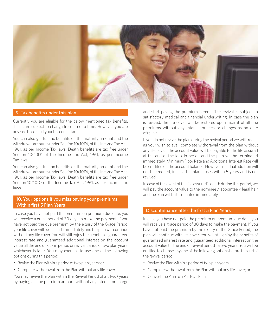

## 9. Tax benefits under this plan

Currently you are eligible for the below mentioned tax benefits. These are subject to change from time to time. However, you are advised to consult your tax consultant.

You can also get full tax benefits on the maturity amount and the withdrawal amounts under Section 10(10D), of the Income Tax Act, 1961, as per Income Tax laws. Death benefits are tax free under Section 10(10D) of the Income Tax Act, 1961, as per Income Tax laws.

You can also get full tax benefits on the maturity amount and the withdrawal amounts under Section 10(10D), of the Income Tax Act, 1961, as per Income Tax laws. Death benefits are tax free under Section 10(10D) of the Income Tax Act, 1961, as per Income Tax laws.

# 10. Your options if you miss paying your premiums Within first 5 Plan Years

In case you have not paid the premium on premium due date, you will receive a grace period of 30 days to make the payment. If you have not paid the due premium by the expiry of the Grace Period, your life cover will be ceased immediately and the plan will continue without any life cover. You will still enjoy the benefits of guaranteed interest rate and guaranteed additional interest on the account value till the end of lock in period or revival period of two plan years, whichever is later. You may exercise to use one of the following options during this period:

- Revive the Plan within a period of two plan years; or
- Complete withdrawal from the Plan without any life cover.

You may revive the plan within the Revival Period of 2 (Two) years by paying all due premium amount without any interest or charge and start paying the premium hereon. The revival is subject to satisfactory medical and financial underwriting. In case the plan is revived, the life cover will be restored upon receipt of all due premiums without any interest or fees or charges as on date of revival.

If you do not revive the plan during the revival period we will treat it as your wish to avail complete withdrawal from the plan without any life cover. The account value will be payable to the life assured at the end of the lock in period and the plan will be terminated immediately. Minimum Floor Rate and Additional Interest Rate will be credited on the account balance. However, residual addition will not be credited, in case the plan lapses within 5 years and is not revived.

In case of the event of the life assured's death during this period, we will pay the account value to the nominee / appointee / legal heir and the plan will be terminated immediately.

# Discontinuance after the first 5 Plan Years

In case you have not paid the premium on premium due date, you will receive a grace period of 30 days to make the payment. If you have not paid the premium by the expiry of the Grace Period, the plan will continue with life cover. You will still enjoy the benefits of guaranteed interest rate and guaranteed additional interest on the account value till the end of revival period i.e two years. You will be entitled to choose any one of the following options before the end of the revival period:

- Revive the Plan within a period of two plan years
- Complete withdrawal from the Plan without any life cover; or
- Convert the Plan to a Paid-Up Plan.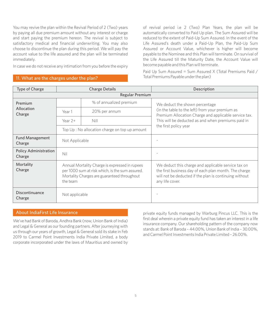You may revive the plan within the Revival Period of 2 (Two) years by paying all due premium amount without any interest or charge and start paying the premium hereon. The revival is subject to satisfactory medical and financial underwriting. You may also choose to discontinue the plan during this period. We will pay the account value to the life assured and the plan will be terminated immediately.

In case we do not receive any intimation from you before the expiry

# 11. What are the charges under the plan?

of revival period i.e 2 (Two) Plan Years, the plan will be automatically converted to Paid Up plan. The Sum Assured will be reduced to the extent of Paid-Up Sum Assured. In the event of the Life Assured's death under a Paid-Up Plan, the Paid-Up Sum Assured or Account Value, whichever is higher will become payable to the Nominee and this Plan will terminate. On survival of the Life Assured till the Maturity Date, the Account Value will become payable and this Plan will terminate.

Paid Up Sum Assured = Sum Assured X (Total Premiums Paid / Total Premiums Payable under the plan)

| Type of Charge                         | <b>Charge Details</b>                                                                                                                                        |                                                                         | Description                                                                                                                                                                               |  |
|----------------------------------------|--------------------------------------------------------------------------------------------------------------------------------------------------------------|-------------------------------------------------------------------------|-------------------------------------------------------------------------------------------------------------------------------------------------------------------------------------------|--|
| <b>Regular Premium</b>                 |                                                                                                                                                              |                                                                         |                                                                                                                                                                                           |  |
| Premium<br>Allocation<br>Charge        |                                                                                                                                                              | % of annualized premium                                                 | We deduct the shown percentage                                                                                                                                                            |  |
|                                        | Year 1                                                                                                                                                       | 20% per annum                                                           | (in the table to the left) from your premium as<br>Premium Allocation Charge and applicable service tax.                                                                                  |  |
|                                        | Year $2+$                                                                                                                                                    | Nill                                                                    | This will be deducted as and when premiums paid in                                                                                                                                        |  |
|                                        |                                                                                                                                                              | the first policy year<br>Top Up : No allocation charge on top up amount |                                                                                                                                                                                           |  |
| <b>Fund Management</b><br>Charge       | Not Applicable                                                                                                                                               |                                                                         |                                                                                                                                                                                           |  |
| <b>Policy Administration</b><br>Charge | Nil                                                                                                                                                          |                                                                         |                                                                                                                                                                                           |  |
| Mortality<br>Charge                    | Annual Mortality Charge is expressed in rupees<br>per 1000 sum at risk which, is the sum assured.<br>Mortality Charges are guaranteed throughout<br>the team |                                                                         | We deduct this charge and applicable service tax on<br>the first business day of each plan month. The charge<br>will not be deducted if the plan is continuing without<br>any life cover. |  |
| Discontinuance<br>Charge               | Not applicable                                                                                                                                               |                                                                         |                                                                                                                                                                                           |  |

We've had Bank of Baroda, Andhra Bank (now, Union Bank of India) and Legal & General as our founding partners. After journeying with us through our years of growth, Legal & General sold its stake in Feb 2019 to Carmel Point Investments India Private Limited, a body corporate incorporated under the laws of Mauritius and owned by

About IndiaFirst Life Insurance **private private equity funds managed by Warburg Pincus LLC.** This is the first deal wherein a private equity fund has taken an interest in a life insurance company. Our shareholding pattern of the company now stands at: Bank of Baroda – 44.00%, Union Bank of India – 30.00%, and Carmel Point Investments India Private Limited – 26.00%.